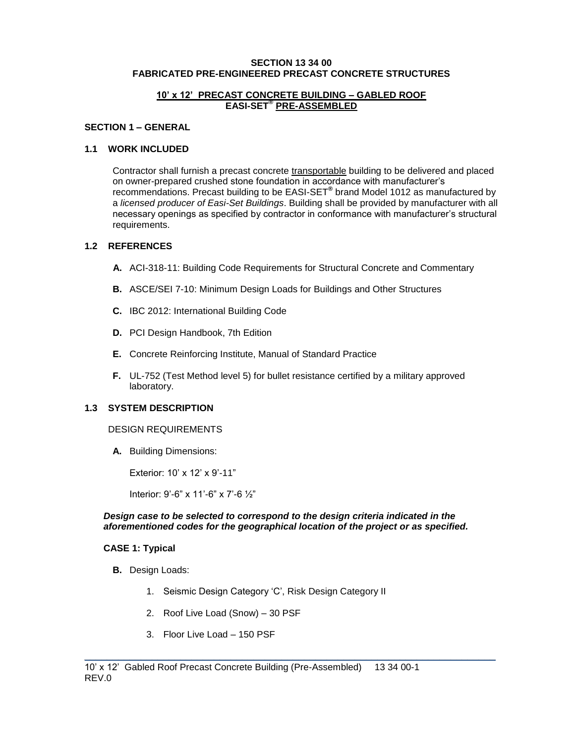### **SECTION 13 34 00 FABRICATED PRE-ENGINEERED PRECAST CONCRETE STRUCTURES**

### **10' x 12' PRECAST CONCRETE BUILDING – GABLED ROOF EASI-SET® PRE-ASSEMBLED**

### **SECTION 1 – GENERAL**

### **1.1 WORK INCLUDED**

Contractor shall furnish a precast concrete transportable building to be delivered and placed on owner-prepared crushed stone foundation in accordance with manufacturer's recommendations. Precast building to be EASI-SET**®** brand Model 1012 as manufactured by a *licensed producer of Easi-Set Buildings*. Building shall be provided by manufacturer with all necessary openings as specified by contractor in conformance with manufacturer's structural requirements.

### **1.2 REFERENCES**

- **A.** ACI-318-11: Building Code Requirements for Structural Concrete and Commentary
- **B.** ASCE/SEI 7-10: Minimum Design Loads for Buildings and Other Structures
- **C.** IBC 2012: International Building Code
- **D.** PCI Design Handbook, 7th Edition
- **E.** Concrete Reinforcing Institute, Manual of Standard Practice
- **F.** UL-752 (Test Method level 5) for bullet resistance certified by a military approved laboratory.

### **1.3 SYSTEM DESCRIPTION**

#### DESIGN REQUIREMENTS

**A.** Building Dimensions:

Exterior: 10' x 12' x 9'-11"

Interior: 9'-6" x 11'-6" x 7'-6 ½"

#### *Design case to be selected to correspond to the design criteria indicated in the aforementioned codes for the geographical location of the project or as specified.*

\_\_\_\_\_\_\_\_\_\_\_\_\_\_\_\_\_\_\_\_\_\_\_\_\_\_\_\_\_\_\_\_\_\_\_\_\_\_\_\_\_\_\_\_\_\_\_\_\_\_\_\_\_\_\_\_\_\_\_\_\_\_\_\_\_\_\_\_\_\_\_\_\_

#### **CASE 1: Typical**

- **B.** Design Loads:
	- 1. Seismic Design Category 'C', Risk Design Category II
	- 2. Roof Live Load (Snow) 30 PSF
	- 3. Floor Live Load 150 PSF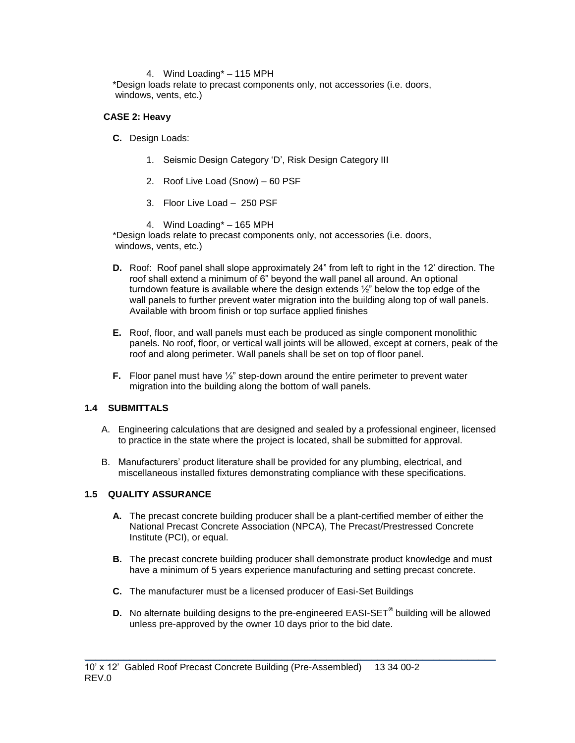### 4. Wind Loading\* – 115 MPH

\*Design loads relate to precast components only, not accessories (i.e. doors, windows, vents, etc.)

### **CASE 2: Heavy**

- **C.** Design Loads:
	- 1. Seismic Design Category 'D', Risk Design Category III
	- 2. Roof Live Load (Snow) 60 PSF
	- 3. Floor Live Load 250 PSF
	- 4. Wind Loading\* 165 MPH

\*Design loads relate to precast components only, not accessories (i.e. doors, windows, vents, etc.)

- **D.** Roof: Roof panel shall slope approximately 24" from left to right in the 12' direction. The roof shall extend a minimum of 6" beyond the wall panel all around. An optional turndown feature is available where the design extends ½" below the top edge of the wall panels to further prevent water migration into the building along top of wall panels. Available with broom finish or top surface applied finishes
- **E.** Roof, floor, and wall panels must each be produced as single component monolithic panels. No roof, floor, or vertical wall joints will be allowed, except at corners, peak of the roof and along perimeter. Wall panels shall be set on top of floor panel.
- **F.** Floor panel must have  $\frac{1}{2}$ " step-down around the entire perimeter to prevent water migration into the building along the bottom of wall panels.

# **1.4 SUBMITTALS**

- A. Engineering calculations that are designed and sealed by a professional engineer, licensed to practice in the state where the project is located, shall be submitted for approval.
- B. Manufacturers' product literature shall be provided for any plumbing, electrical, and miscellaneous installed fixtures demonstrating compliance with these specifications.

### **1.5 QUALITY ASSURANCE**

- **A.** The precast concrete building producer shall be a plant-certified member of either the National Precast Concrete Association (NPCA), The Precast/Prestressed Concrete Institute (PCI), or equal.
- **B.** The precast concrete building producer shall demonstrate product knowledge and must have a minimum of 5 years experience manufacturing and setting precast concrete.
- **C.** The manufacturer must be a licensed producer of Easi-Set Buildings
- **D.** No alternate building designs to the pre-engineered EASI-SET**®** building will be allowed unless pre-approved by the owner 10 days prior to the bid date.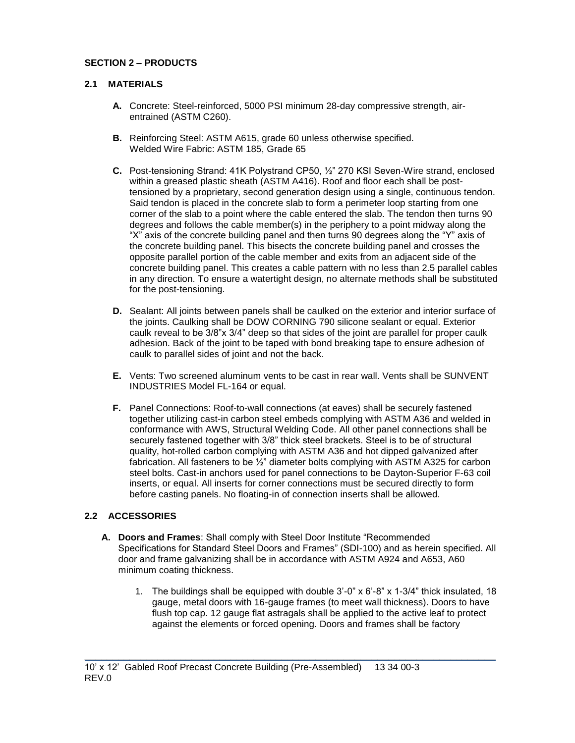# **SECTION 2 – PRODUCTS**

# **2.1 MATERIALS**

- **A.** Concrete: Steel-reinforced, 5000 PSI minimum 28-day compressive strength, airentrained (ASTM C260).
- **B.** Reinforcing Steel: ASTM A615, grade 60 unless otherwise specified. Welded Wire Fabric: ASTM 185, Grade 65
- **C.** Post-tensioning Strand: 41K Polystrand CP50, ½" 270 KSI Seven-Wire strand, enclosed within a greased plastic sheath (ASTM A416). Roof and floor each shall be posttensioned by a proprietary, second generation design using a single, continuous tendon. Said tendon is placed in the concrete slab to form a perimeter loop starting from one corner of the slab to a point where the cable entered the slab. The tendon then turns 90 degrees and follows the cable member(s) in the periphery to a point midway along the "X" axis of the concrete building panel and then turns 90 degrees along the "Y" axis of the concrete building panel. This bisects the concrete building panel and crosses the opposite parallel portion of the cable member and exits from an adjacent side of the concrete building panel. This creates a cable pattern with no less than 2.5 parallel cables in any direction. To ensure a watertight design, no alternate methods shall be substituted for the post-tensioning.
- **D.** Sealant: All joints between panels shall be caulked on the exterior and interior surface of the joints. Caulking shall be DOW CORNING 790 silicone sealant or equal. Exterior caulk reveal to be 3/8"x 3/4" deep so that sides of the joint are parallel for proper caulk adhesion. Back of the joint to be taped with bond breaking tape to ensure adhesion of caulk to parallel sides of joint and not the back.
- **E.** Vents: Two screened aluminum vents to be cast in rear wall. Vents shall be SUNVENT INDUSTRIES Model FL-164 or equal.
- **F.** Panel Connections: Roof-to-wall connections (at eaves) shall be securely fastened together utilizing cast-in carbon steel embeds complying with ASTM A36 and welded in conformance with AWS, Structural Welding Code. All other panel connections shall be securely fastened together with 3/8" thick steel brackets. Steel is to be of structural quality, hot-rolled carbon complying with ASTM A36 and hot dipped galvanized after fabrication. All fasteners to be ½" diameter bolts complying with ASTM A325 for carbon steel bolts. Cast-in anchors used for panel connections to be Dayton-Superior F-63 coil inserts, or equal. All inserts for corner connections must be secured directly to form before casting panels. No floating-in of connection inserts shall be allowed.

# **2.2 ACCESSORIES**

**A. Doors and Frames**: Shall comply with Steel Door Institute "Recommended Specifications for Standard Steel Doors and Frames" (SDI-100) and as herein specified. All door and frame galvanizing shall be in accordance with ASTM A924 and A653, A60 minimum coating thickness.

\_\_\_\_\_\_\_\_\_\_\_\_\_\_\_\_\_\_\_\_\_\_\_\_\_\_\_\_\_\_\_\_\_\_\_\_\_\_\_\_\_\_\_\_\_\_\_\_\_\_\_\_\_\_\_\_\_\_\_\_\_\_\_\_\_\_\_\_\_\_\_\_\_

1. The buildings shall be equipped with double 3'-0" x 6'-8" x 1-3/4" thick insulated, 18 gauge, metal doors with 16-gauge frames (to meet wall thickness). Doors to have flush top cap. 12 gauge flat astragals shall be applied to the active leaf to protect against the elements or forced opening. Doors and frames shall be factory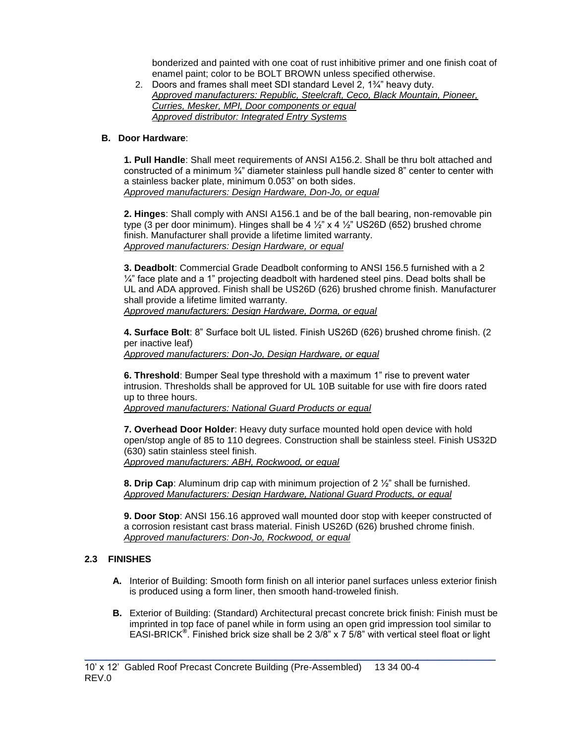bonderized and painted with one coat of rust inhibitive primer and one finish coat of enamel paint; color to be BOLT BROWN unless specified otherwise.

2. Doors and frames shall meet SDI standard Level 2, 1¾" heavy duty. *Approved manufacturers: Republic, Steelcraft, Ceco, Black Mountain, Pioneer, Curries, Mesker, MPI, Door components or equal Approved distributor: Integrated Entry Systems*

### **B. Door Hardware**:

**1. Pull Handle**: Shall meet requirements of ANSI A156.2. Shall be thru bolt attached and constructed of a minimum ¾" diameter stainless pull handle sized 8" center to center with a stainless backer plate, minimum 0.053" on both sides. *Approved manufacturers: Design Hardware, Don-Jo, or equal*

**2. Hinges**: Shall comply with ANSI A156.1 and be of the ball bearing, non-removable pin type (3 per door minimum). Hinges shall be  $4\frac{1}{2}$  x  $4\frac{1}{2}$  US26D (652) brushed chrome finish. Manufacturer shall provide a lifetime limited warranty. *Approved manufacturers: Design Hardware, or equal*

**3. Deadbolt**: Commercial Grade Deadbolt conforming to ANSI 156.5 furnished with a 2  $\frac{1}{4}$ " face plate and a 1" projecting deadbolt with hardened steel pins. Dead bolts shall be UL and ADA approved. Finish shall be US26D (626) brushed chrome finish. Manufacturer shall provide a lifetime limited warranty. *Approved manufacturers: Design Hardware, Dorma, or equal*

**4. Surface Bolt**: 8" Surface bolt UL listed. Finish US26D (626) brushed chrome finish. (2 per inactive leaf) *Approved manufacturers: Don-Jo, Design Hardware, or equal*

**6. Threshold**: Bumper Seal type threshold with a maximum 1" rise to prevent water intrusion. Thresholds shall be approved for UL 10B suitable for use with fire doors rated up to three hours.

*Approved manufacturers: National Guard Products or equal* 

**7. Overhead Door Holder**: Heavy duty surface mounted hold open device with hold open/stop angle of 85 to 110 degrees. Construction shall be stainless steel. Finish US32D (630) satin stainless steel finish. *Approved manufacturers: ABH, Rockwood, or equal*

**8. Drip Cap**: Aluminum drip cap with minimum projection of 2 ½" shall be furnished. *Approved Manufacturers: Design Hardware, National Guard Products, or equal*

**9. Door Stop**: ANSI 156.16 approved wall mounted door stop with keeper constructed of a corrosion resistant cast brass material. Finish US26D (626) brushed chrome finish. *Approved manufacturers: Don-Jo, Rockwood, or equal*

# **2.3 FINISHES**

- **A.** Interior of Building: Smooth form finish on all interior panel surfaces unless exterior finish is produced using a form liner, then smooth hand-troweled finish.
- **B.** Exterior of Building: (Standard) Architectural precast concrete brick finish: Finish must be imprinted in top face of panel while in form using an open grid impression tool similar to EASI-BRICK**®** . Finished brick size shall be 2 3/8" x 7 5/8" with vertical steel float or light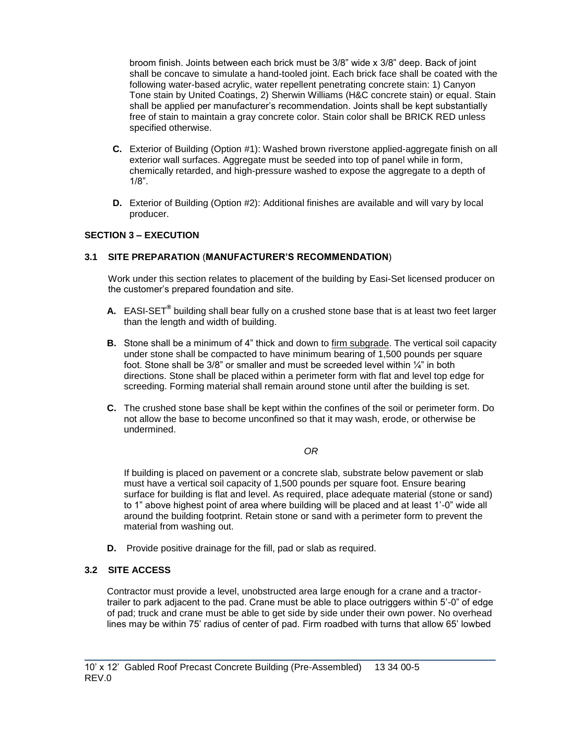broom finish. Joints between each brick must be 3/8" wide x 3/8" deep. Back of joint shall be concave to simulate a hand-tooled joint. Each brick face shall be coated with the following water-based acrylic, water repellent penetrating concrete stain: 1) Canyon Tone stain by United Coatings, 2) Sherwin Williams (H&C concrete stain) or equal. Stain shall be applied per manufacturer's recommendation. Joints shall be kept substantially free of stain to maintain a gray concrete color. Stain color shall be BRICK RED unless specified otherwise.

- **C.** Exterior of Building (Option #1): Washed brown riverstone applied-aggregate finish on all exterior wall surfaces. Aggregate must be seeded into top of panel while in form, chemically retarded, and high-pressure washed to expose the aggregate to a depth of 1/8".
- **D.** Exterior of Building (Option #2): Additional finishes are available and will vary by local producer.

# **SECTION 3 – EXECUTION**

### **3.1 SITE PREPARATION** (**MANUFACTURER'S RECOMMENDATION**)

Work under this section relates to placement of the building by Easi-Set licensed producer on the customer's prepared foundation and site.

- **A.** EASI-SET**®** building shall bear fully on a crushed stone base that is at least two feet larger than the length and width of building.
- **B.** Stone shall be a minimum of 4" thick and down to firm subgrade. The vertical soil capacity under stone shall be compacted to have minimum bearing of 1,500 pounds per square foot. Stone shall be  $3/8$ " or smaller and must be screeded level within  $\frac{1}{4}$ " in both directions. Stone shall be placed within a perimeter form with flat and level top edge for screeding. Forming material shall remain around stone until after the building is set.
- **C.** The crushed stone base shall be kept within the confines of the soil or perimeter form. Do not allow the base to become unconfined so that it may wash, erode, or otherwise be undermined.

### *OR*

If building is placed on pavement or a concrete slab, substrate below pavement or slab must have a vertical soil capacity of 1,500 pounds per square foot. Ensure bearing surface for building is flat and level. As required, place adequate material (stone or sand) to 1" above highest point of area where building will be placed and at least 1'-0" wide all around the building footprint. Retain stone or sand with a perimeter form to prevent the material from washing out.

**D.** Provide positive drainage for the fill, pad or slab as required.

## **3.2 SITE ACCESS**

Contractor must provide a level, unobstructed area large enough for a crane and a tractortrailer to park adjacent to the pad. Crane must be able to place outriggers within 5'-0" of edge of pad; truck and crane must be able to get side by side under their own power. No overhead lines may be within 75' radius of center of pad. Firm roadbed with turns that allow 65' lowbed